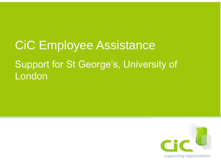# CiC Employee Assistance Support for St George's, University of London

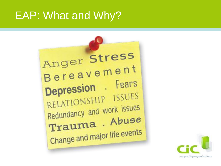#### EAP: What and Why?



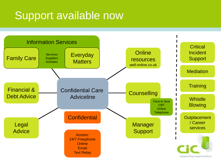## Support available now

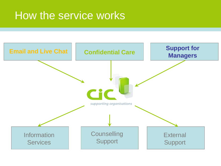### How the service works

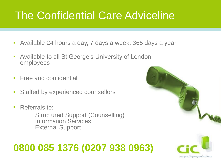## The Confidential Care Adviceline

- Available 24 hours a day, 7 days a week, 365 days a year
- Available to all St George's University of London employees
- **Free and confidential**
- **EXECUTE: Staffed by experienced counsellors**
- Referrals to: Structured Support (Counselling) Information Services External Support

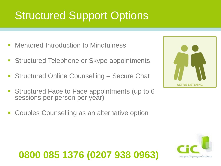## Structured Support Options

- **Mentored Introduction to Mindfulness**
- Structured Telephone or Skype appointments
- Structured Online Counselling Secure Chat
- **EXECUTED Face to Face appointments (up to 6** sessions per person per year)
- Couples Counselling as an alternative option



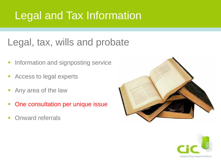## Legal and Tax Information

#### Legal, tax, wills and probate

- **Information and signposting service**
- Access to legal experts
- Any area of the law
- One consultation per unique issue
- **Onward referrals**



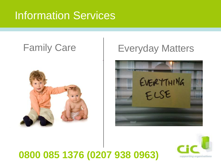### Information Services



#### Family Care | Everyday Matters



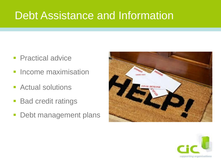### Debt Assistance and Information

- **Practical advice**
- **Income maximisation**
- Actual solutions
- **Bad credit ratings**
- **Debt management plans**



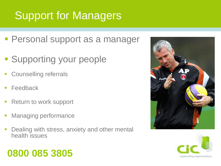# Support for Managers

- Personal support as a manager
- **Supporting your people**
- **EXECOUNDERIST COUNSELLING** referrals
- **Feedback**
- Return to work support
- **Managing performance**
- **Dealing with stress, anxiety and other mental** health issues

#### **0800 085 3805**



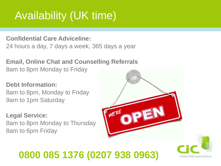## Availability (UK time)

**Confidential Care Adviceline:** 24 hours a day, 7 days a week, 365 days a year

**Email, Online Chat and Counselling Referrals** 8am to 8pm Monday to Friday

**Debt Information:** 8am to 8pm, Monday to Friday 9am to 1pm Saturday

**Legal Service:** 8am to 8pm Monday to Thursday 8am to 6pm Friday



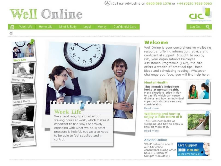#### Call our Adviceline on 0800 085 1376 or +44 (0)20 7938 0963



台

Work Life Home Life Mind & Body

Legal

Confidential Care Money







Home Life



Mind & Body



Money



#### Work Life

We spend roughly a third of our waking hours at work, which makes it important to find ways of actively engaging with what we do. A bit of pressure is helpful, but we also need to be able to feel satisfied and in control.

#### Welcome

Well Online is your comprehensive wellbeing resource, offering information, advice and confidential support. Brought to you by CiC, your organisation's Employee Assistance Programme (EAP), the site offers a wealth of practical tips, fresh ideas and stimulating reading. Whatever challenge you face, you will find help here.

#### **Mental Health**

This month's helpsheet looks at mental health. Many situations arise in day to day life which can cause distress and how an individual copes with distress can vary considerably.



Read more

#### Wellbeing and how to enjoy a little more of it

This Helpsheet looks at wellbeing and how to enjoy a little bit more of it. Read more



#### **Advice Online**

'Chat' online to one of our Adviceline consultants during office hours (9:00am to 5:00pm weekdays)

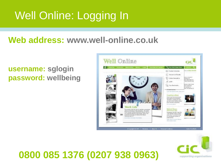# Well Online: Logging In

#### **Web address: www.well-online.co.uk**

#### **username: sglogin password: wellbeing**



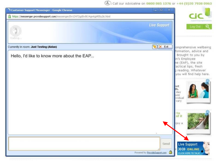2. Call our Adviceline on 0800 085 1376 or +44 (0) 20 7938 0963

| <b>Customer Support Messenger - Google Chrome</b>                              | $= 0$<br>$\mathbf x$               |                                                                                                                                                                                                                                     |
|--------------------------------------------------------------------------------|------------------------------------|-------------------------------------------------------------------------------------------------------------------------------------------------------------------------------------------------------------------------------------|
| https://messenger.providesupport.com/messenger/0v12472gd0v8t14gwtgj455u26.html |                                    |                                                                                                                                                                                                                                     |
| Calling                                                                        | <b>Live Support</b>                | Log Out                                                                                                                                                                                                                             |
| Currently in room: Just Testing (Aidan)                                        | X Exit                             | omprehensive wellbeing                                                                                                                                                                                                              |
| Hello, I'd like to know more about the EAP                                     | Send                               | formation, advice and<br>Brought to you by<br>in's Employee<br>ne (EAP), the site<br>actical tips, fresh<br>3 reading. Whatever<br>you will find help here.<br>eet<br>th.<br>day<br>use<br>ividual<br>vary<br>to<br>of it<br>hjoy a |
|                                                                                | ê<br>Powered by ProvideSupport.com | <b>Live Support</b><br><b>XXX</b> ONLINE<br><b>CLICK HERE TO TALK!</b>                                                                                                                                                              |